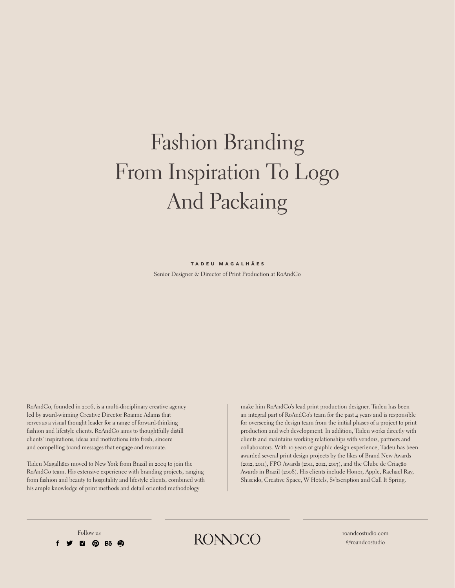# Fashion Branding From Inspiration To Logo And Packaing

#### TADEU MAGALHÃES

Senior Designer & Director of Print Production at RoAndCo

RoAndCo, founded in 2006, is a multi-disciplinary creative agency led by award-winning Creative Director Roanne Adams that serves as a visual thought leader for a range of forward-thinking fashion and lifestyle clients. RoAndCo aims to thoughtfully distill clients' inspirations, ideas and motivations into fresh, sincere and compelling brand messages that engage and resonate.

Tadeu Magalhães moved to New York from Brazil in 2009 to join the RoAndCo team. His extensive experience with branding projects, ranging from fashion and beauty to hospitality and lifestyle clients, combined with his ample knowledge of print methods and detail oriented methodology

make him RoAndCo's lead print production designer. Tadeu has been an integral part of RoAndCo's team for the past 4 years and is responsible for overseeing the design team from the initial phases of a project to print production and web development. In addition, Tadeu works directly with clients and maintains working relationships with vendors, partners and collaborators. With 10 years of graphic design experience, Tadeu has been awarded several print design projects by the likes of Brand New Awards (2012, 2011), FPO Awards (2011, 2012, 2013), and the Clube de Criação Awards in Brazil (2008). His clients include Honor, Apple, Rachael Ray, Shiseido, Creative Space, W Hotels, Svbscription and Call It Spring.

 $\bullet$  0 Be  $\bullet$ 

Follow us  $RONDCO$  roandcostudio.com

@roandcostudio